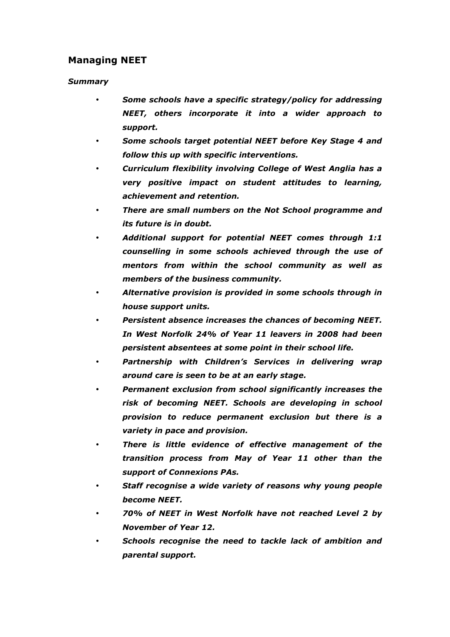## Managing NEET

## Summary

- Some schools have a specific strategy/policy for addressing NEET, others incorporate it into a wider approach to support.
- Some schools target potential NEET before Key Stage 4 and follow this up with specific interventions.
- Curriculum flexibility involving College of West Anglia has a very positive impact on student attitudes to learning, achievement and retention.
- There are small numbers on the Not School programme and its future is in doubt.
- Additional support for potential NEET comes through 1:1 counselling in some schools achieved through the use of mentors from within the school community as well as members of the business community.
- Alternative provision is provided in some schools through in house support units.
- Persistent absence increases the chances of becoming NEET. In West Norfolk 24% of Year 11 leavers in 2008 had been persistent absentees at some point in their school life.
- Partnership with Children's Services in delivering wrap around care is seen to be at an early stage.
- Permanent exclusion from school significantly increases the risk of becoming NEET. Schools are developing in school provision to reduce permanent exclusion but there is a variety in pace and provision.
- There is little evidence of effective management of the transition process from May of Year 11 other than the support of Connexions PAs.
- Staff recognise a wide variety of reasons why young people become NEET.
- 70% of NEET in West Norfolk have not reached Level 2 by November of Year 12.
- Schools recognise the need to tackle lack of ambition and parental support.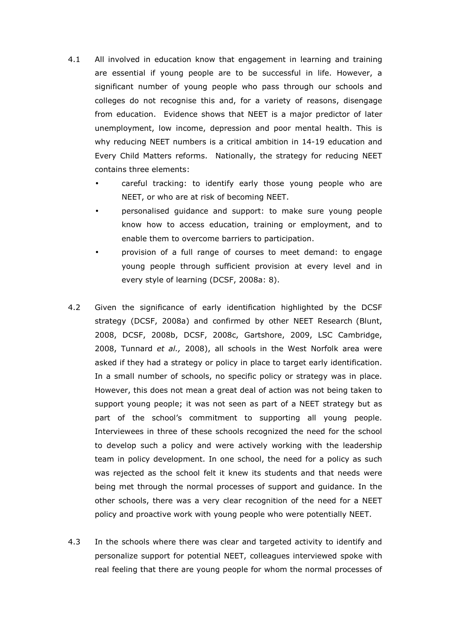- 4.1 All involved in education know that engagement in learning and training are essential if young people are to be successful in life. However, a significant number of young people who pass through our schools and colleges do not recognise this and, for a variety of reasons, disengage from education. Evidence shows that NEET is a major predictor of later unemployment, low income, depression and poor mental health. This is why reducing NEET numbers is a critical ambition in 14-19 education and Every Child Matters reforms. Nationally, the strategy for reducing NEET contains three elements:
	- careful tracking: to identify early those young people who are NEET, or who are at risk of becoming NEET.
	- personalised guidance and support: to make sure young people know how to access education, training or employment, and to enable them to overcome barriers to participation.
	- provision of a full range of courses to meet demand: to engage young people through sufficient provision at every level and in every style of learning (DCSF, 2008a: 8).
- 4.2 Given the significance of early identification highlighted by the DCSF strategy (DCSF, 2008a) and confirmed by other NEET Research (Blunt, 2008, DCSF, 2008b, DCSF, 2008c, Gartshore, 2009, LSC Cambridge, 2008, Tunnard et al., 2008), all schools in the West Norfolk area were asked if they had a strategy or policy in place to target early identification. In a small number of schools, no specific policy or strategy was in place. However, this does not mean a great deal of action was not being taken to support young people; it was not seen as part of a NEET strategy but as part of the school's commitment to supporting all young people. Interviewees in three of these schools recognized the need for the school to develop such a policy and were actively working with the leadership team in policy development. In one school, the need for a policy as such was rejected as the school felt it knew its students and that needs were being met through the normal processes of support and guidance. In the other schools, there was a very clear recognition of the need for a NEET policy and proactive work with young people who were potentially NEET.
- 4.3 In the schools where there was clear and targeted activity to identify and personalize support for potential NEET, colleagues interviewed spoke with real feeling that there are young people for whom the normal processes of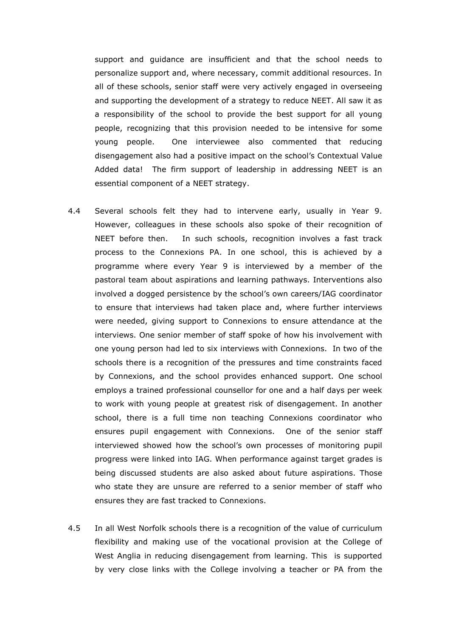support and guidance are insufficient and that the school needs to personalize support and, where necessary, commit additional resources. In all of these schools, senior staff were very actively engaged in overseeing and supporting the development of a strategy to reduce NEET. All saw it as a responsibility of the school to provide the best support for all young people, recognizing that this provision needed to be intensive for some young people. One interviewee also commented that reducing disengagement also had a positive impact on the school's Contextual Value Added data! The firm support of leadership in addressing NEET is an essential component of a NEET strategy.

- 4.4 Several schools felt they had to intervene early, usually in Year 9. However, colleagues in these schools also spoke of their recognition of NEET before then. In such schools, recognition involves a fast track process to the Connexions PA. In one school, this is achieved by a programme where every Year 9 is interviewed by a member of the pastoral team about aspirations and learning pathways. Interventions also involved a dogged persistence by the school's own careers/IAG coordinator to ensure that interviews had taken place and, where further interviews were needed, giving support to Connexions to ensure attendance at the interviews. One senior member of staff spoke of how his involvement with one young person had led to six interviews with Connexions. In two of the schools there is a recognition of the pressures and time constraints faced by Connexions, and the school provides enhanced support. One school employs a trained professional counsellor for one and a half days per week to work with young people at greatest risk of disengagement. In another school, there is a full time non teaching Connexions coordinator who ensures pupil engagement with Connexions. One of the senior staff interviewed showed how the school's own processes of monitoring pupil progress were linked into IAG. When performance against target grades is being discussed students are also asked about future aspirations. Those who state they are unsure are referred to a senior member of staff who ensures they are fast tracked to Connexions.
- 4.5 In all West Norfolk schools there is a recognition of the value of curriculum flexibility and making use of the vocational provision at the College of West Anglia in reducing disengagement from learning. This is supported by very close links with the College involving a teacher or PA from the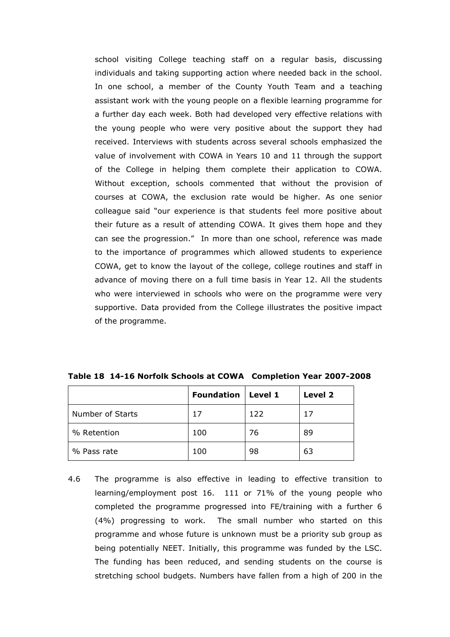school visiting College teaching staff on a regular basis, discussing individuals and taking supporting action where needed back in the school. In one school, a member of the County Youth Team and a teaching assistant work with the young people on a flexible learning programme for a further day each week. Both had developed very effective relations with the young people who were very positive about the support they had received. Interviews with students across several schools emphasized the value of involvement with COWA in Years 10 and 11 through the support of the College in helping them complete their application to COWA. Without exception, schools commented that without the provision of courses at COWA, the exclusion rate would be higher. As one senior colleague said "our experience is that students feel more positive about their future as a result of attending COWA. It gives them hope and they can see the progression." In more than one school, reference was made to the importance of programmes which allowed students to experience COWA, get to know the layout of the college, college routines and staff in advance of moving there on a full time basis in Year 12. All the students who were interviewed in schools who were on the programme were very supportive. Data provided from the College illustrates the positive impact of the programme.

|                  | <b>Foundation   Level 1</b> |     | Level 2 |
|------------------|-----------------------------|-----|---------|
| Number of Starts | 17                          | 122 | 17      |
| % Retention      | 100                         | 76  | 89      |
| % Pass rate      | 100                         | 98  | 63      |

Table 18 14-16 Norfolk Schools at COWA Completion Year 2007-2008

4.6 The programme is also effective in leading to effective transition to learning/employment post 16. 111 or 71% of the young people who completed the programme progressed into FE/training with a further 6 (4%) progressing to work. The small number who started on this programme and whose future is unknown must be a priority sub group as being potentially NEET. Initially, this programme was funded by the LSC. The funding has been reduced, and sending students on the course is stretching school budgets. Numbers have fallen from a high of 200 in the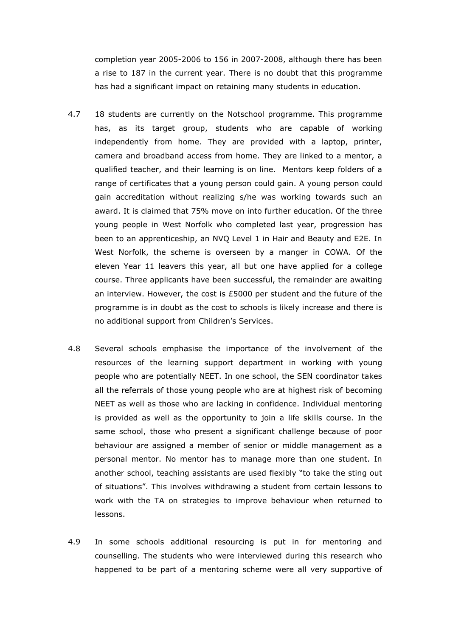completion year 2005-2006 to 156 in 2007-2008, although there has been a rise to 187 in the current year. There is no doubt that this programme has had a significant impact on retaining many students in education.

- 4.7 18 students are currently on the Notschool programme. This programme has, as its target group, students who are capable of working independently from home. They are provided with a laptop, printer, camera and broadband access from home. They are linked to a mentor, a qualified teacher, and their learning is on line. Mentors keep folders of a range of certificates that a young person could gain. A young person could gain accreditation without realizing s/he was working towards such an award. It is claimed that 75% move on into further education. Of the three young people in West Norfolk who completed last year, progression has been to an apprenticeship, an NVQ Level 1 in Hair and Beauty and E2E. In West Norfolk, the scheme is overseen by a manger in COWA. Of the eleven Year 11 leavers this year, all but one have applied for a college course. Three applicants have been successful, the remainder are awaiting an interview. However, the cost is £5000 per student and the future of the programme is in doubt as the cost to schools is likely increase and there is no additional support from Children's Services.
- 4.8 Several schools emphasise the importance of the involvement of the resources of the learning support department in working with young people who are potentially NEET. In one school, the SEN coordinator takes all the referrals of those young people who are at highest risk of becoming NEET as well as those who are lacking in confidence. Individual mentoring is provided as well as the opportunity to join a life skills course. In the same school, those who present a significant challenge because of poor behaviour are assigned a member of senior or middle management as a personal mentor. No mentor has to manage more than one student. In another school, teaching assistants are used flexibly "to take the sting out of situations". This involves withdrawing a student from certain lessons to work with the TA on strategies to improve behaviour when returned to lessons.
- 4.9 In some schools additional resourcing is put in for mentoring and counselling. The students who were interviewed during this research who happened to be part of a mentoring scheme were all very supportive of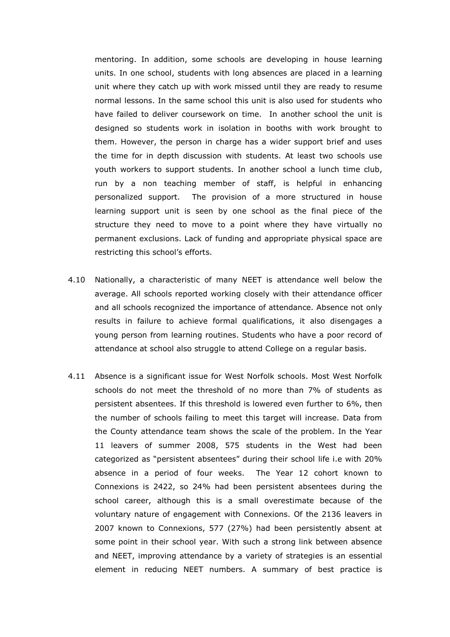mentoring. In addition, some schools are developing in house learning units. In one school, students with long absences are placed in a learning unit where they catch up with work missed until they are ready to resume normal lessons. In the same school this unit is also used for students who have failed to deliver coursework on time. In another school the unit is designed so students work in isolation in booths with work brought to them. However, the person in charge has a wider support brief and uses the time for in depth discussion with students. At least two schools use youth workers to support students. In another school a lunch time club, run by a non teaching member of staff, is helpful in enhancing personalized support. The provision of a more structured in house learning support unit is seen by one school as the final piece of the structure they need to move to a point where they have virtually no permanent exclusions. Lack of funding and appropriate physical space are restricting this school's efforts.

- 4.10 Nationally, a characteristic of many NEET is attendance well below the average. All schools reported working closely with their attendance officer and all schools recognized the importance of attendance. Absence not only results in failure to achieve formal qualifications, it also disengages a young person from learning routines. Students who have a poor record of attendance at school also struggle to attend College on a regular basis.
- 4.11 Absence is a significant issue for West Norfolk schools. Most West Norfolk schools do not meet the threshold of no more than 7% of students as persistent absentees. If this threshold is lowered even further to 6%, then the number of schools failing to meet this target will increase. Data from the County attendance team shows the scale of the problem. In the Year 11 leavers of summer 2008, 575 students in the West had been categorized as "persistent absentees" during their school life i.e with 20% absence in a period of four weeks. The Year 12 cohort known to Connexions is 2422, so 24% had been persistent absentees during the school career, although this is a small overestimate because of the voluntary nature of engagement with Connexions. Of the 2136 leavers in 2007 known to Connexions, 577 (27%) had been persistently absent at some point in their school year. With such a strong link between absence and NEET, improving attendance by a variety of strategies is an essential element in reducing NEET numbers. A summary of best practice is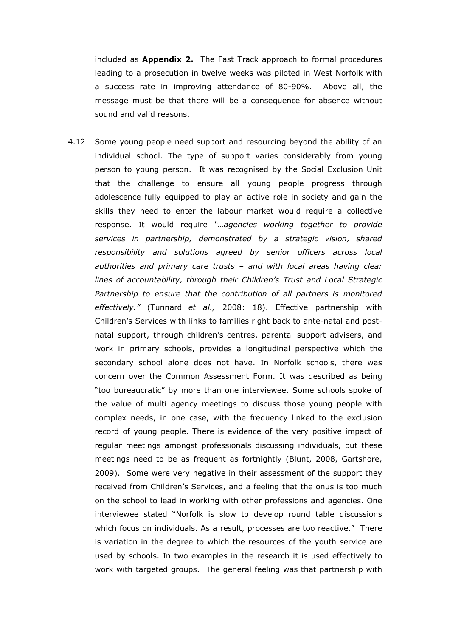included as **Appendix 2.** The Fast Track approach to formal procedures leading to a prosecution in twelve weeks was piloted in West Norfolk with a success rate in improving attendance of 80-90%. Above all, the message must be that there will be a consequence for absence without sound and valid reasons.

4.12 Some young people need support and resourcing beyond the ability of an individual school. The type of support varies considerably from young person to young person. It was recognised by the Social Exclusion Unit that the challenge to ensure all young people progress through adolescence fully equipped to play an active role in society and gain the skills they need to enter the labour market would require a collective response. It would require "…agencies working together to provide services in partnership, demonstrated by a strategic vision, shared responsibility and solutions agreed by senior officers across local authorities and primary care trusts – and with local areas having clear lines of accountability, through their Children's Trust and Local Strategic Partnership to ensure that the contribution of all partners is monitored effectively." (Tunnard et al., 2008: 18). Effective partnership with Children's Services with links to families right back to ante-natal and postnatal support, through children's centres, parental support advisers, and work in primary schools, provides a longitudinal perspective which the secondary school alone does not have. In Norfolk schools, there was concern over the Common Assessment Form. It was described as being "too bureaucratic" by more than one interviewee. Some schools spoke of the value of multi agency meetings to discuss those young people with complex needs, in one case, with the frequency linked to the exclusion record of young people. There is evidence of the very positive impact of regular meetings amongst professionals discussing individuals, but these meetings need to be as frequent as fortnightly (Blunt, 2008, Gartshore, 2009). Some were very negative in their assessment of the support they received from Children's Services, and a feeling that the onus is too much on the school to lead in working with other professions and agencies. One interviewee stated "Norfolk is slow to develop round table discussions which focus on individuals. As a result, processes are too reactive." There is variation in the degree to which the resources of the youth service are used by schools. In two examples in the research it is used effectively to work with targeted groups. The general feeling was that partnership with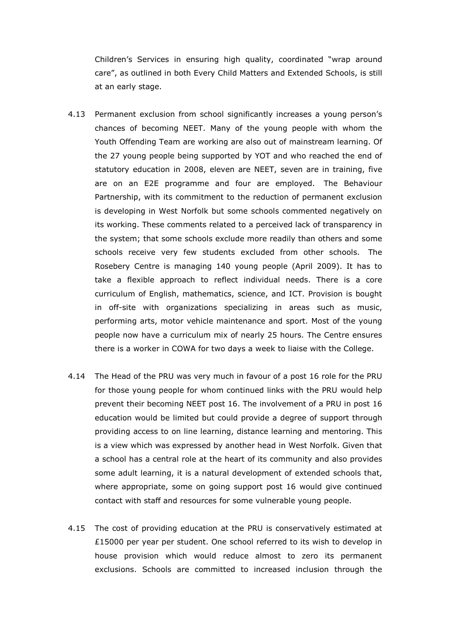Children's Services in ensuring high quality, coordinated "wrap around care", as outlined in both Every Child Matters and Extended Schools, is still at an early stage.

- 4.13 Permanent exclusion from school significantly increases a young person's chances of becoming NEET. Many of the young people with whom the Youth Offending Team are working are also out of mainstream learning. Of the 27 young people being supported by YOT and who reached the end of statutory education in 2008, eleven are NEET, seven are in training, five are on an E2E programme and four are employed. The Behaviour Partnership, with its commitment to the reduction of permanent exclusion is developing in West Norfolk but some schools commented negatively on its working. These comments related to a perceived lack of transparency in the system; that some schools exclude more readily than others and some schools receive very few students excluded from other schools. The Rosebery Centre is managing 140 young people (April 2009). It has to take a flexible approach to reflect individual needs. There is a core curriculum of English, mathematics, science, and ICT. Provision is bought in off-site with organizations specializing in areas such as music, performing arts, motor vehicle maintenance and sport. Most of the young people now have a curriculum mix of nearly 25 hours. The Centre ensures there is a worker in COWA for two days a week to liaise with the College.
- 4.14 The Head of the PRU was very much in favour of a post 16 role for the PRU for those young people for whom continued links with the PRU would help prevent their becoming NEET post 16. The involvement of a PRU in post 16 education would be limited but could provide a degree of support through providing access to on line learning, distance learning and mentoring. This is a view which was expressed by another head in West Norfolk. Given that a school has a central role at the heart of its community and also provides some adult learning, it is a natural development of extended schools that, where appropriate, some on going support post 16 would give continued contact with staff and resources for some vulnerable young people.
- 4.15 The cost of providing education at the PRU is conservatively estimated at £15000 per year per student. One school referred to its wish to develop in house provision which would reduce almost to zero its permanent exclusions. Schools are committed to increased inclusion through the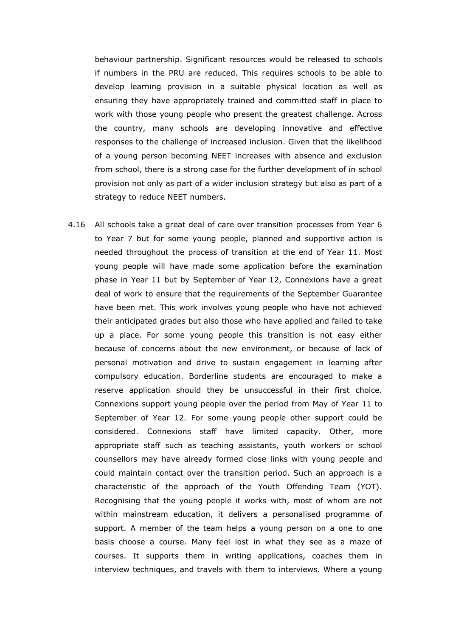behaviour partnership. Significant resources would be released to schools if numbers in the PRU are reduced. This requires schools to be able to develop learning provision in a suitable physical location as well as ensuring they have appropriately trained and committed staff in place to work with those young people who present the greatest challenge. Across the country, many schools are developing innovative and effective responses to the challenge of increased inclusion. Given that the likelihood of a young person becoming NEET increases with absence and exclusion from school, there is a strong case for the further development of in school provision not only as part of a wider inclusion strategy but also as part of a strategy to reduce NEET numbers.

4.16 All schools take a great deal of care over transition processes from Year 6 to Year 7 but for some young people, planned and supportive action is needed throughout the process of transition at the end of Year 11. Most young people will have made some application before the examination phase in Year 11 but by September of Year 12, Connexions have a great deal of work to ensure that the requirements of the September Guarantee have been met. This work involves young people who have not achieved their anticipated grades but also those who have applied and failed to take up a place. For some young people this transition is not easy either because of concerns about the new environment, or because of lack of personal motivation and drive to sustain engagement in learning after compulsory education. Borderline students are encouraged to make a reserve application should they be unsuccessful in their first choice. Connexions support young people over the period from May of Year 11 to September of Year 12. For some young people other support could be considered. Connexions staff have limited capacity. Other, more appropriate staff such as teaching assistants, youth workers or school counsellors may have already formed close links with young people and could maintain contact over the transition period. Such an approach is a characteristic of the approach of the Youth Offending Team (YOT). Recognising that the young people it works with, most of whom are not within mainstream education, it delivers a personalised programme of support. A member of the team helps a young person on a one to one basis choose a course. Many feel lost in what they see as a maze of courses. It supports them in writing applications, coaches them in interview techniques, and travels with them to interviews. Where a young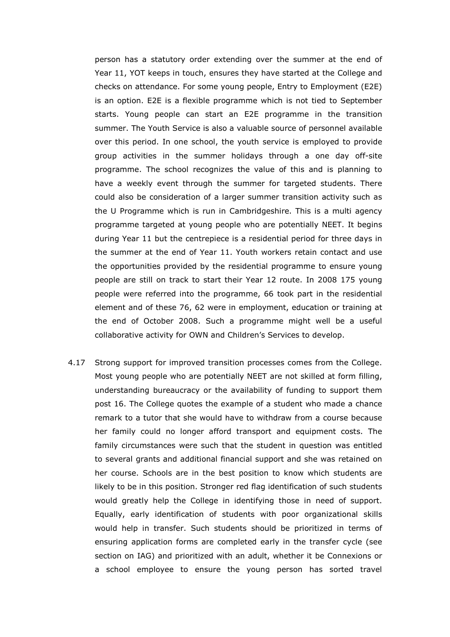person has a statutory order extending over the summer at the end of Year 11, YOT keeps in touch, ensures they have started at the College and checks on attendance. For some young people, Entry to Employment (E2E) is an option. E2E is a flexible programme which is not tied to September starts. Young people can start an E2E programme in the transition summer. The Youth Service is also a valuable source of personnel available over this period. In one school, the youth service is employed to provide group activities in the summer holidays through a one day off-site programme. The school recognizes the value of this and is planning to have a weekly event through the summer for targeted students. There could also be consideration of a larger summer transition activity such as the U Programme which is run in Cambridgeshire. This is a multi agency programme targeted at young people who are potentially NEET. It begins during Year 11 but the centrepiece is a residential period for three days in the summer at the end of Year 11. Youth workers retain contact and use the opportunities provided by the residential programme to ensure young people are still on track to start their Year 12 route. In 2008 175 young people were referred into the programme, 66 took part in the residential element and of these 76, 62 were in employment, education or training at the end of October 2008. Such a programme might well be a useful collaborative activity for OWN and Children's Services to develop.

4.17 Strong support for improved transition processes comes from the College. Most young people who are potentially NEET are not skilled at form filling, understanding bureaucracy or the availability of funding to support them post 16. The College quotes the example of a student who made a chance remark to a tutor that she would have to withdraw from a course because her family could no longer afford transport and equipment costs. The family circumstances were such that the student in question was entitled to several grants and additional financial support and she was retained on her course. Schools are in the best position to know which students are likely to be in this position. Stronger red flag identification of such students would greatly help the College in identifying those in need of support. Equally, early identification of students with poor organizational skills would help in transfer. Such students should be prioritized in terms of ensuring application forms are completed early in the transfer cycle (see section on IAG) and prioritized with an adult, whether it be Connexions or a school employee to ensure the young person has sorted travel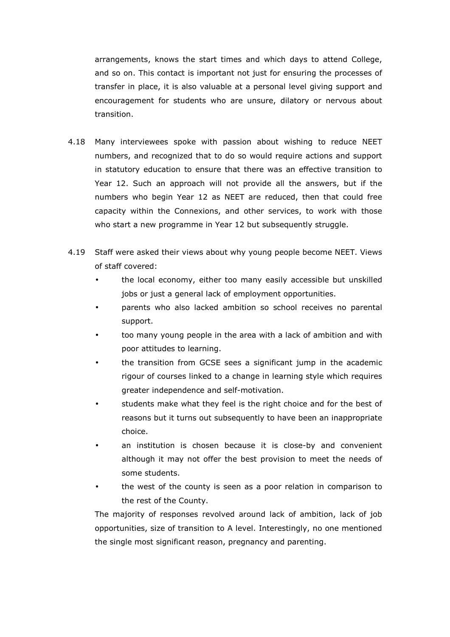arrangements, knows the start times and which days to attend College, and so on. This contact is important not just for ensuring the processes of transfer in place, it is also valuable at a personal level giving support and encouragement for students who are unsure, dilatory or nervous about transition.

- 4.18 Many interviewees spoke with passion about wishing to reduce NEET numbers, and recognized that to do so would require actions and support in statutory education to ensure that there was an effective transition to Year 12. Such an approach will not provide all the answers, but if the numbers who begin Year 12 as NEET are reduced, then that could free capacity within the Connexions, and other services, to work with those who start a new programme in Year 12 but subsequently struggle.
- 4.19 Staff were asked their views about why young people become NEET. Views of staff covered:
	- the local economy, either too many easily accessible but unskilled jobs or just a general lack of employment opportunities.
	- parents who also lacked ambition so school receives no parental support.
	- too many young people in the area with a lack of ambition and with poor attitudes to learning.
	- the transition from GCSE sees a significant jump in the academic rigour of courses linked to a change in learning style which requires greater independence and self-motivation.
	- students make what they feel is the right choice and for the best of reasons but it turns out subsequently to have been an inappropriate choice.
	- an institution is chosen because it is close-by and convenient although it may not offer the best provision to meet the needs of some students.
	- the west of the county is seen as a poor relation in comparison to the rest of the County.

The majority of responses revolved around lack of ambition, lack of job opportunities, size of transition to A level. Interestingly, no one mentioned the single most significant reason, pregnancy and parenting.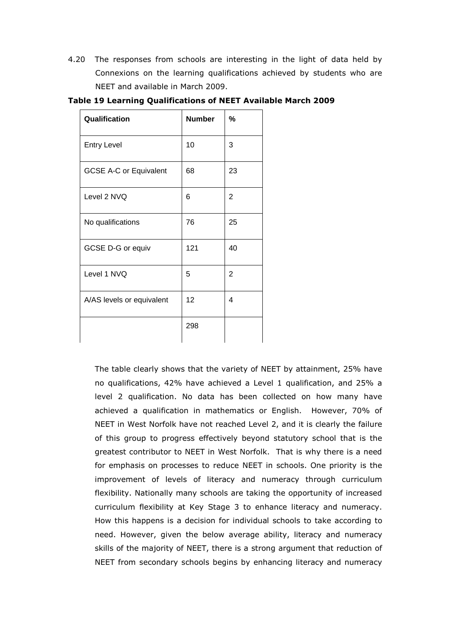4.20 The responses from schools are interesting in the light of data held by Connexions on the learning qualifications achieved by students who are NEET and available in March 2009.

| Qualification                 | <b>Number</b> | %  |
|-------------------------------|---------------|----|
| <b>Entry Level</b>            | 10            | 3  |
| <b>GCSE A-C or Equivalent</b> | 68            | 23 |
| Level 2 NVQ                   | 6             | 2  |
| No qualifications             | 76            | 25 |
| GCSE D-G or equiv             | 121           | 40 |
| Level 1 NVQ                   | 5             | 2  |
| A/AS levels or equivalent     | 12            | 4  |
|                               | 298           |    |

Table 19 Learning Qualifications of NEET Available March 2009

 The table clearly shows that the variety of NEET by attainment, 25% have no qualifications, 42% have achieved a Level 1 qualification, and 25% a level 2 qualification. No data has been collected on how many have achieved a qualification in mathematics or English. However, 70% of NEET in West Norfolk have not reached Level 2, and it is clearly the failure of this group to progress effectively beyond statutory school that is the greatest contributor to NEET in West Norfolk. That is why there is a need for emphasis on processes to reduce NEET in schools. One priority is the improvement of levels of literacy and numeracy through curriculum flexibility. Nationally many schools are taking the opportunity of increased curriculum flexibility at Key Stage 3 to enhance literacy and numeracy. How this happens is a decision for individual schools to take according to need. However, given the below average ability, literacy and numeracy skills of the majority of NEET, there is a strong argument that reduction of NEET from secondary schools begins by enhancing literacy and numeracy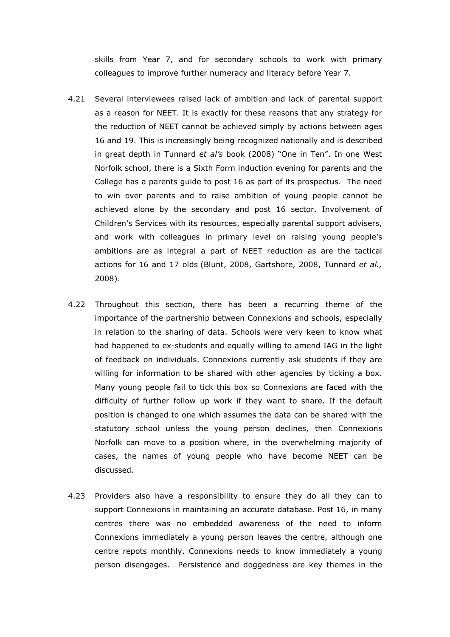skills from Year 7, and for secondary schools to work with primary colleagues to improve further numeracy and literacy before Year 7.

- 4.21 Several interviewees raised lack of ambition and lack of parental support as a reason for NEET. It is exactly for these reasons that any strategy for the reduction of NEET cannot be achieved simply by actions between ages 16 and 19. This is increasingly being recognized nationally and is described in great depth in Tunnard et al's book (2008) "One in Ten". In one West Norfolk school, there is a Sixth Form induction evening for parents and the College has a parents guide to post 16 as part of its prospectus. The need to win over parents and to raise ambition of young people cannot be achieved alone by the secondary and post 16 sector. Involvement of Children's Services with its resources, especially parental support advisers, and work with colleagues in primary level on raising young people's ambitions are as integral a part of NEET reduction as are the tactical actions for 16 and 17 olds (Blunt, 2008, Gartshore, 2008, Tunnard et al., 2008).
- 4.22 Throughout this section, there has been a recurring theme of the importance of the partnership between Connexions and schools, especially in relation to the sharing of data. Schools were very keen to know what had happened to ex-students and equally willing to amend IAG in the light of feedback on individuals. Connexions currently ask students if they are willing for information to be shared with other agencies by ticking a box. Many young people fail to tick this box so Connexions are faced with the difficulty of further follow up work if they want to share. If the default position is changed to one which assumes the data can be shared with the statutory school unless the young person declines, then Connexions Norfolk can move to a position where, in the overwhelming majority of cases, the names of young people who have become NEET can be discussed.
- 4.23 Providers also have a responsibility to ensure they do all they can to support Connexions in maintaining an accurate database. Post 16, in many centres there was no embedded awareness of the need to inform Connexions immediately a young person leaves the centre, although one centre repots monthly. Connexions needs to know immediately a young person disengages. Persistence and doggedness are key themes in the